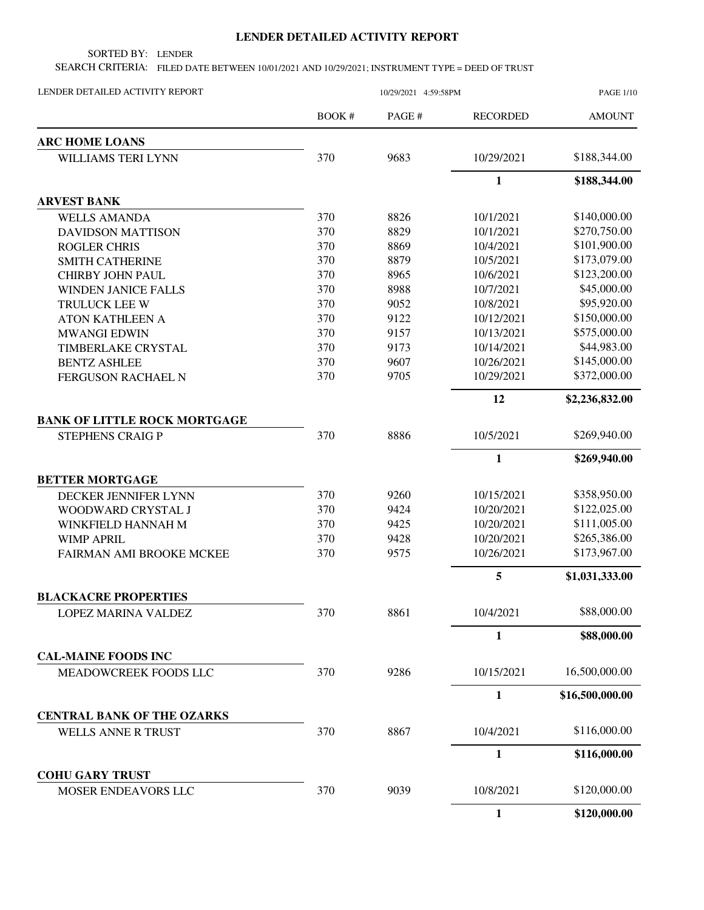## **LENDER DETAILED ACTIVITY REPORT**

SORTED BY: LENDER

SEARCH CRITERIA: FILED DATE BETWEEN 10/01/2021 AND 10/29/2021; INSTRUMENT TYPE = DEED OF TRUST

| LENDER DETAILED ACTIVITY REPORT     | 10/29/2021 4:59:58PM |        |                 | <b>PAGE 1/10</b> |
|-------------------------------------|----------------------|--------|-----------------|------------------|
|                                     | BOOK#                | PAGE # | <b>RECORDED</b> | <b>AMOUNT</b>    |
| <b>ARC HOME LOANS</b>               |                      |        |                 |                  |
| <b>WILLIAMS TERI LYNN</b>           | 370                  | 9683   | 10/29/2021      | \$188,344.00     |
|                                     |                      |        | $\mathbf{1}$    | \$188,344.00     |
| <b>ARVEST BANK</b>                  |                      |        |                 |                  |
| <b>WELLS AMANDA</b>                 | 370                  | 8826   | 10/1/2021       | \$140,000.00     |
| <b>DAVIDSON MATTISON</b>            | 370                  | 8829   | 10/1/2021       | \$270,750.00     |
| <b>ROGLER CHRIS</b>                 | 370                  | 8869   | 10/4/2021       | \$101,900.00     |
| <b>SMITH CATHERINE</b>              | 370                  | 8879   | 10/5/2021       | \$173,079.00     |
| <b>CHIRBY JOHN PAUL</b>             | 370                  | 8965   | 10/6/2021       | \$123,200.00     |
| <b>WINDEN JANICE FALLS</b>          | 370                  | 8988   | 10/7/2021       | \$45,000.00      |
| TRULUCK LEE W                       | 370                  | 9052   | 10/8/2021       | \$95,920.00      |
| <b>ATON KATHLEEN A</b>              | 370                  | 9122   | 10/12/2021      | \$150,000.00     |
| <b>MWANGI EDWIN</b>                 | 370                  | 9157   | 10/13/2021      | \$575,000.00     |
| TIMBERLAKE CRYSTAL                  | 370                  | 9173   | 10/14/2021      | \$44,983.00      |
| <b>BENTZ ASHLEE</b>                 | 370                  | 9607   | 10/26/2021      | \$145,000.00     |
| <b>FERGUSON RACHAEL N</b>           | 370                  | 9705   | 10/29/2021      | \$372,000.00     |
|                                     |                      |        | 12              | \$2,236,832.00   |
| <b>BANK OF LITTLE ROCK MORTGAGE</b> |                      |        |                 |                  |
| <b>STEPHENS CRAIG P</b>             | 370                  | 8886   | 10/5/2021       | \$269,940.00     |
|                                     |                      |        | $\mathbf{1}$    | \$269,940.00     |
| <b>BETTER MORTGAGE</b>              |                      |        |                 |                  |
| DECKER JENNIFER LYNN                | 370                  | 9260   | 10/15/2021      | \$358,950.00     |
| WOODWARD CRYSTAL J                  | 370                  | 9424   | 10/20/2021      | \$122,025.00     |
| WINKFIELD HANNAH M                  | 370                  | 9425   | 10/20/2021      | \$111,005.00     |
| <b>WIMP APRIL</b>                   | 370                  | 9428   | 10/20/2021      | \$265,386.00     |
| FAIRMAN AMI BROOKE MCKEE            | 370                  | 9575   | 10/26/2021      | \$173,967.00     |
|                                     |                      |        | $\sqrt{5}$      | \$1,031,333.00   |
| <b>BLACKACRE PROPERTIES</b>         |                      |        |                 |                  |
| LOPEZ MARINA VALDEZ                 | 370                  | 8861   | 10/4/2021       | \$88,000.00      |
|                                     |                      |        | $\mathbf{1}$    | \$88,000.00      |
| <b>CAL-MAINE FOODS INC</b>          |                      |        |                 |                  |
| MEADOWCREEK FOODS LLC               | 370                  | 9286   | 10/15/2021      | 16,500,000.00    |
|                                     |                      |        | $\mathbf{1}$    | \$16,500,000.00  |
| <b>CENTRAL BANK OF THE OZARKS</b>   |                      |        |                 |                  |
| <b>WELLS ANNE R TRUST</b>           | 370                  | 8867   | 10/4/2021       | \$116,000.00     |
|                                     |                      |        | $\mathbf{1}$    | \$116,000.00     |
| <b>COHU GARY TRUST</b>              |                      |        |                 |                  |
| MOSER ENDEAVORS LLC                 | 370                  | 9039   | 10/8/2021       | \$120,000.00     |
|                                     |                      |        | $\mathbf{1}$    | \$120,000.00     |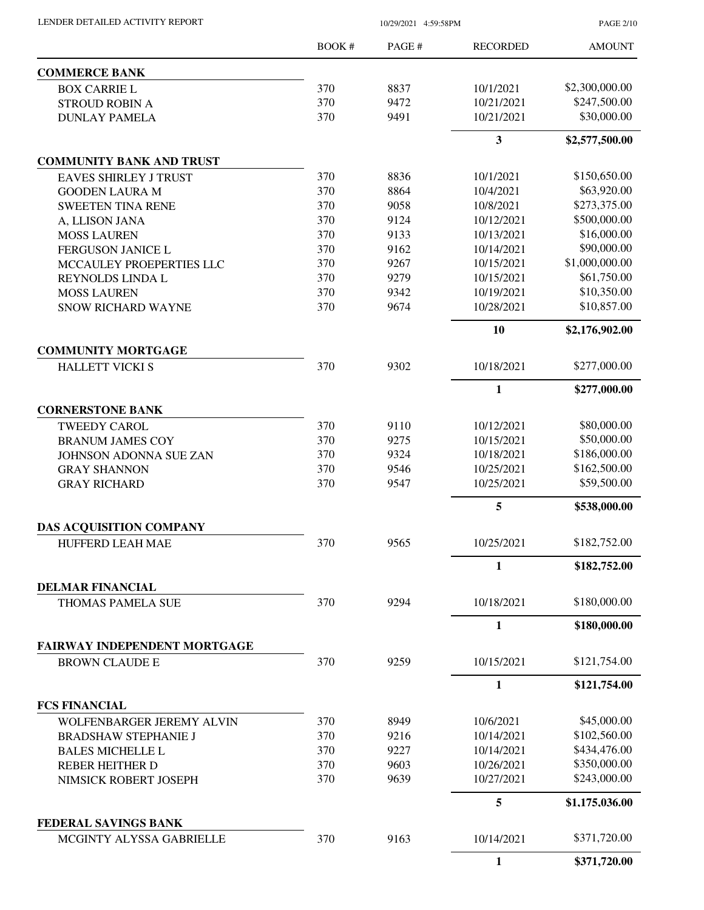| LENDER DETAILED ACTIVITY REPORT                     |       | 10/29/2021 4:59:58PM |                         |                |
|-----------------------------------------------------|-------|----------------------|-------------------------|----------------|
|                                                     | BOOK# | PAGE#                | <b>RECORDED</b>         | <b>AMOUNT</b>  |
| <b>COMMERCE BANK</b>                                |       |                      |                         |                |
| <b>BOX CARRIE L</b>                                 | 370   | 8837                 | 10/1/2021               | \$2,300,000.00 |
| <b>STROUD ROBIN A</b>                               | 370   | 9472                 | 10/21/2021              | \$247,500.00   |
| <b>DUNLAY PAMELA</b>                                | 370   | 9491                 | 10/21/2021              | \$30,000.00    |
|                                                     |       |                      | $\overline{\mathbf{3}}$ | \$2,577,500.00 |
| <b>COMMUNITY BANK AND TRUST</b>                     |       |                      |                         |                |
| <b>EAVES SHIRLEY J TRUST</b>                        | 370   | 8836                 | 10/1/2021               | \$150,650.00   |
| <b>GOODEN LAURA M</b>                               | 370   | 8864                 | 10/4/2021               | \$63,920.00    |
| <b>SWEETEN TINA RENE</b>                            | 370   | 9058                 | 10/8/2021               | \$273,375.00   |
| A, LLISON JANA                                      | 370   | 9124                 | 10/12/2021              | \$500,000.00   |
| <b>MOSS LAUREN</b>                                  | 370   | 9133                 | 10/13/2021              | \$16,000.00    |
| FERGUSON JANICE L                                   | 370   | 9162                 | 10/14/2021              | \$90,000.00    |
| MCCAULEY PROEPERTIES LLC                            | 370   | 9267                 | 10/15/2021              | \$1,000,000.00 |
| REYNOLDS LINDA L                                    | 370   | 9279                 | 10/15/2021              | \$61,750.00    |
| <b>MOSS LAUREN</b>                                  | 370   | 9342                 | 10/19/2021              | \$10,350.00    |
| <b>SNOW RICHARD WAYNE</b>                           | 370   | 9674                 | 10/28/2021              | \$10,857.00    |
|                                                     |       |                      | 10                      | \$2,176,902.00 |
| <b>COMMUNITY MORTGAGE</b>                           |       |                      |                         |                |
| <b>HALLETT VICKI S</b>                              | 370   | 9302                 | 10/18/2021              | \$277,000.00   |
|                                                     |       |                      | $\mathbf{1}$            | \$277,000.00   |
| <b>CORNERSTONE BANK</b>                             |       |                      |                         |                |
| <b>TWEEDY CAROL</b>                                 | 370   | 9110                 | 10/12/2021              | \$80,000.00    |
| <b>BRANUM JAMES COY</b>                             | 370   | 9275                 | 10/15/2021              | \$50,000.00    |
| <b>JOHNSON ADONNA SUE ZAN</b>                       | 370   | 9324                 | 10/18/2021              | \$186,000.00   |
| <b>GRAY SHANNON</b>                                 | 370   | 9546                 | 10/25/2021              | \$162,500.00   |
| <b>GRAY RICHARD</b>                                 | 370   | 9547                 | 10/25/2021              | \$59,500.00    |
|                                                     |       |                      | 5                       | \$538,000.00   |
| <b>DAS ACQUISITION COMPANY</b>                      |       |                      |                         |                |
| HUFFERD LEAH MAE                                    | 370   | 9565                 | 10/25/2021              | \$182,752.00   |
|                                                     |       |                      | $\mathbf{1}$            | \$182,752.00   |
| <b>DELMAR FINANCIAL</b><br><b>THOMAS PAMELA SUE</b> | 370   | 9294                 | 10/18/2021              | \$180,000.00   |
|                                                     |       |                      | 1                       | \$180,000.00   |
| FAIRWAY INDEPENDENT MORTGAGE                        |       |                      |                         |                |
| <b>BROWN CLAUDE E</b>                               | 370   | 9259                 | 10/15/2021              | \$121,754.00   |
|                                                     |       |                      | $\mathbf{1}$            | \$121,754.00   |
| <b>FCS FINANCIAL</b>                                |       |                      |                         |                |
| WOLFENBARGER JEREMY ALVIN                           | 370   | 8949                 | 10/6/2021               | \$45,000.00    |
| <b>BRADSHAW STEPHANIE J</b>                         | 370   | 9216                 | 10/14/2021              | \$102,560.00   |
| <b>BALES MICHELLE L</b>                             | 370   | 9227                 | 10/14/2021              | \$434,476.00   |
| <b>REBER HEITHER D</b>                              | 370   | 9603                 | 10/26/2021              | \$350,000.00   |
| NIMSICK ROBERT JOSEPH                               | 370   | 9639                 | 10/27/2021              | \$243,000.00   |
|                                                     |       |                      | 5                       | \$1,175,036.00 |
| FEDERAL SAVINGS BANK                                |       |                      |                         |                |
| MCGINTY ALYSSA GABRIELLE                            | 370   | 9163                 | 10/14/2021              | \$371,720.00   |
|                                                     |       |                      | $\mathbf{1}$            | \$371,720.00   |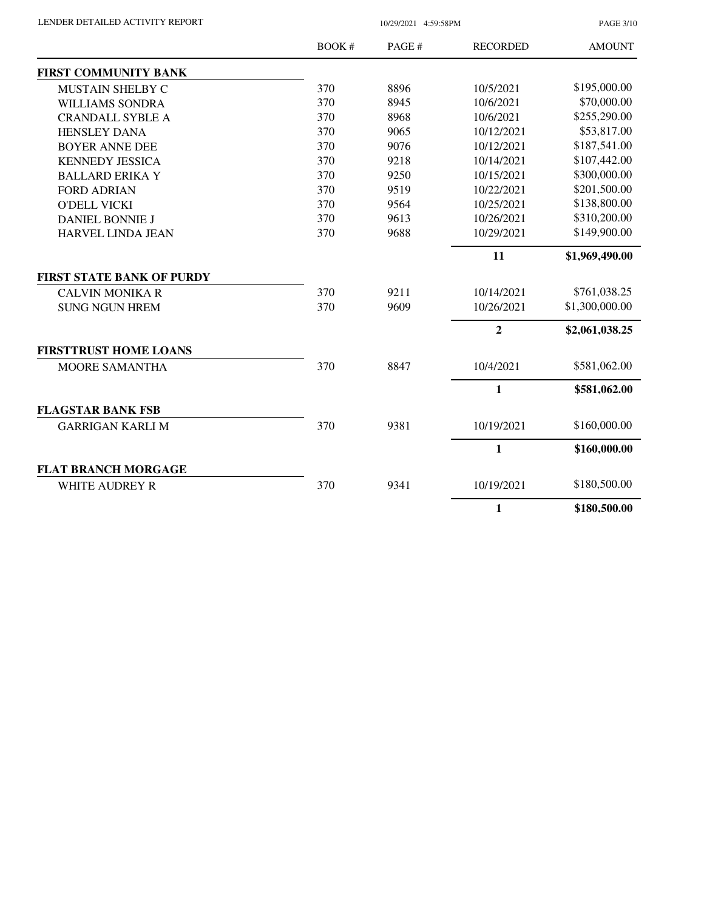| LENDER DETAILED ACTIVITY REPORT |  |
|---------------------------------|--|
|                                 |  |

10/29/2021 4:59:58PM

PAGE 3/10

|                                  | BOOK # | PAGE # | <b>RECORDED</b> | <b>AMOUNT</b>  |
|----------------------------------|--------|--------|-----------------|----------------|
| <b>FIRST COMMUNITY BANK</b>      |        |        |                 |                |
| MUSTAIN SHELBY C                 | 370    | 8896   | 10/5/2021       | \$195,000.00   |
| <b>WILLIAMS SONDRA</b>           | 370    | 8945   | 10/6/2021       | \$70,000.00    |
| <b>CRANDALL SYBLE A</b>          | 370    | 8968   | 10/6/2021       | \$255,290.00   |
| <b>HENSLEY DANA</b>              | 370    | 9065   | 10/12/2021      | \$53,817.00    |
| <b>BOYER ANNE DEE</b>            | 370    | 9076   | 10/12/2021      | \$187,541.00   |
| <b>KENNEDY JESSICA</b>           | 370    | 9218   | 10/14/2021      | \$107,442.00   |
| <b>BALLARD ERIKA Y</b>           | 370    | 9250   | 10/15/2021      | \$300,000.00   |
| <b>FORD ADRIAN</b>               | 370    | 9519   | 10/22/2021      | \$201,500.00   |
| <b>O'DELL VICKI</b>              | 370    | 9564   | 10/25/2021      | \$138,800.00   |
| <b>DANIEL BONNIE J</b>           | 370    | 9613   | 10/26/2021      | \$310,200.00   |
| <b>HARVEL LINDA JEAN</b>         | 370    | 9688   | 10/29/2021      | \$149,900.00   |
|                                  |        |        | 11              | \$1,969,490.00 |
| <b>FIRST STATE BANK OF PURDY</b> |        |        |                 |                |
| <b>CALVIN MONIKA R</b>           | 370    | 9211   | 10/14/2021      | \$761,038.25   |
| <b>SUNG NGUN HREM</b>            | 370    | 9609   | 10/26/2021      | \$1,300,000.00 |
|                                  |        |        | $\overline{2}$  | \$2,061,038.25 |
| <b>FIRSTTRUST HOME LOANS</b>     |        |        |                 |                |
| MOORE SAMANTHA                   | 370    | 8847   | 10/4/2021       | \$581,062.00   |
|                                  |        |        | 1               | \$581,062.00   |
| <b>FLAGSTAR BANK FSB</b>         |        |        |                 |                |
| <b>GARRIGAN KARLI M</b>          | 370    | 9381   | 10/19/2021      | \$160,000.00   |
|                                  |        |        | 1               | \$160,000.00   |
| <b>FLAT BRANCH MORGAGE</b>       |        |        |                 |                |
| <b>WHITE AUDREY R</b>            | 370    | 9341   | 10/19/2021      | \$180,500.00   |
|                                  |        |        | $\mathbf{1}$    | \$180,500.00   |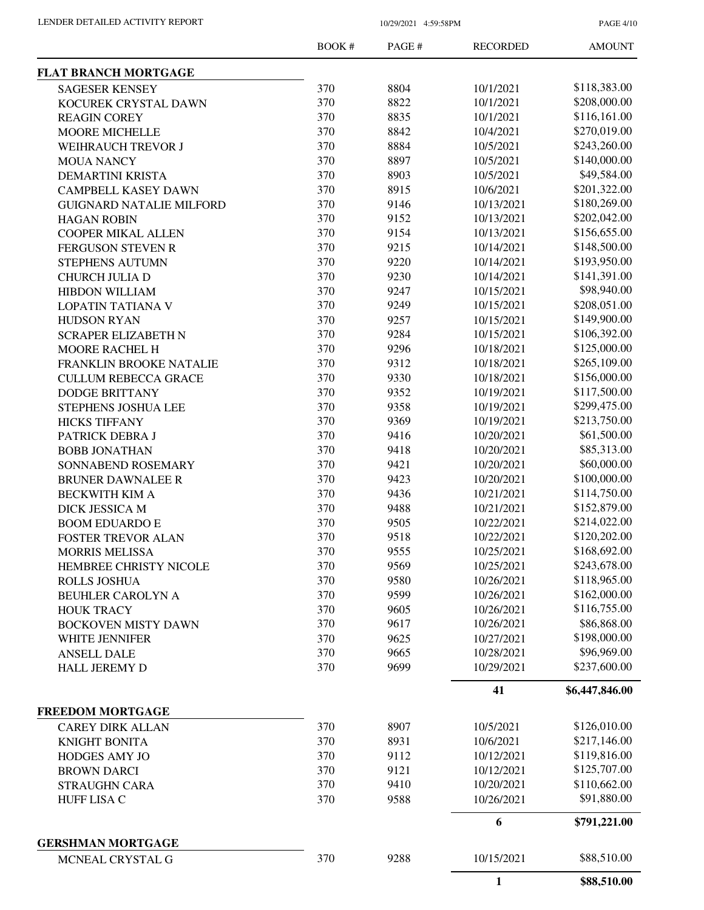PAGE 4/10

|                                 | BOOK# | PAGE# | <b>RECORDED</b> | <b>AMOUNT</b>  |
|---------------------------------|-------|-------|-----------------|----------------|
| <b>FLAT BRANCH MORTGAGE</b>     |       |       |                 |                |
| <b>SAGESER KENSEY</b>           | 370   | 8804  | 10/1/2021       | \$118,383.00   |
| KOCUREK CRYSTAL DAWN            | 370   | 8822  | 10/1/2021       | \$208,000.00   |
| <b>REAGIN COREY</b>             | 370   | 8835  | 10/1/2021       | \$116,161.00   |
| <b>MOORE MICHELLE</b>           | 370   | 8842  | 10/4/2021       | \$270,019.00   |
| <b>WEIHRAUCH TREVOR J</b>       | 370   | 8884  | 10/5/2021       | \$243,260.00   |
| <b>MOUA NANCY</b>               | 370   | 8897  | 10/5/2021       | \$140,000.00   |
| <b>DEMARTINI KRISTA</b>         | 370   | 8903  | 10/5/2021       | \$49,584.00    |
| <b>CAMPBELL KASEY DAWN</b>      | 370   | 8915  | 10/6/2021       | \$201,322.00   |
| <b>GUIGNARD NATALIE MILFORD</b> | 370   | 9146  | 10/13/2021      | \$180,269.00   |
| <b>HAGAN ROBIN</b>              | 370   | 9152  | 10/13/2021      | \$202,042.00   |
| <b>COOPER MIKAL ALLEN</b>       | 370   | 9154  | 10/13/2021      | \$156,655.00   |
| <b>FERGUSON STEVEN R</b>        | 370   | 9215  | 10/14/2021      | \$148,500.00   |
| STEPHENS AUTUMN                 | 370   | 9220  | 10/14/2021      | \$193,950.00   |
| CHURCH JULIA D                  | 370   | 9230  | 10/14/2021      | \$141,391.00   |
| <b>HIBDON WILLIAM</b>           | 370   | 9247  | 10/15/2021      | \$98,940.00    |
| <b>LOPATIN TATIANA V</b>        | 370   | 9249  | 10/15/2021      | \$208,051.00   |
| <b>HUDSON RYAN</b>              | 370   | 9257  | 10/15/2021      | \$149,900.00   |
| <b>SCRAPER ELIZABETH N</b>      | 370   | 9284  | 10/15/2021      | \$106,392.00   |
| MOORE RACHEL H                  | 370   | 9296  | 10/18/2021      | \$125,000.00   |
| FRANKLIN BROOKE NATALIE         | 370   | 9312  | 10/18/2021      | \$265,109.00   |
| <b>CULLUM REBECCA GRACE</b>     | 370   | 9330  | 10/18/2021      | \$156,000.00   |
| <b>DODGE BRITTANY</b>           | 370   | 9352  | 10/19/2021      | \$117,500.00   |
| STEPHENS JOSHUA LEE             | 370   | 9358  | 10/19/2021      | \$299,475.00   |
| <b>HICKS TIFFANY</b>            | 370   | 9369  | 10/19/2021      | \$213,750.00   |
| PATRICK DEBRA J                 | 370   | 9416  | 10/20/2021      | \$61,500.00    |
| <b>BOBB JONATHAN</b>            | 370   | 9418  | 10/20/2021      | \$85,313.00    |
| SONNABEND ROSEMARY              | 370   | 9421  | 10/20/2021      | \$60,000.00    |
| <b>BRUNER DAWNALEE R</b>        | 370   | 9423  | 10/20/2021      | \$100,000.00   |
| <b>BECKWITH KIM A</b>           | 370   | 9436  | 10/21/2021      | \$114,750.00   |
| DICK JESSICA M                  | 370   | 9488  | 10/21/2021      | \$152,879.00   |
| <b>BOOM EDUARDO E</b>           | 370   | 9505  | 10/22/2021      | \$214,022.00   |
|                                 | 370   | 9518  | 10/22/2021      | \$120,202.00   |
| <b>FOSTER TREVOR ALAN</b>       | 370   | 9555  | 10/25/2021      | \$168,692.00   |
| <b>MORRIS MELISSA</b>           |       |       |                 |                |
| HEMBREE CHRISTY NICOLE          | 370   | 9569  | 10/25/2021      | \$243,678.00   |
| <b>ROLLS JOSHUA</b>             | 370   | 9580  | 10/26/2021      | \$118,965.00   |
| <b>BEUHLER CAROLYN A</b>        | 370   | 9599  | 10/26/2021      | \$162,000.00   |
| <b>HOUK TRACY</b>               | 370   | 9605  | 10/26/2021      | \$116,755.00   |
| <b>BOCKOVEN MISTY DAWN</b>      | 370   | 9617  | 10/26/2021      | \$86,868.00    |
| WHITE JENNIFER                  | 370   | 9625  | 10/27/2021      | \$198,000.00   |
| <b>ANSELL DALE</b>              | 370   | 9665  | 10/28/2021      | \$96,969.00    |
| HALL JEREMY D                   | 370   | 9699  | 10/29/2021      | \$237,600.00   |
|                                 |       |       | 41              | \$6,447,846.00 |
| <b>FREEDOM MORTGAGE</b>         |       |       |                 |                |
| <b>CAREY DIRK ALLAN</b>         | 370   | 8907  | 10/5/2021       | \$126,010.00   |
| <b>KNIGHT BONITA</b>            | 370   | 8931  | 10/6/2021       | \$217,146.00   |
| HODGES AMY JO                   | 370   | 9112  | 10/12/2021      | \$119,816.00   |
| <b>BROWN DARCI</b>              | 370   | 9121  | 10/12/2021      | \$125,707.00   |
| <b>STRAUGHN CARA</b>            | 370   | 9410  | 10/20/2021      | \$110,662.00   |
| <b>HUFF LISA C</b>              | 370   | 9588  | 10/26/2021      | \$91,880.00    |
|                                 |       |       | 6               | \$791,221.00   |
| <b>GERSHMAN MORTGAGE</b>        |       |       |                 |                |
| MCNEAL CRYSTAL G                | 370   | 9288  | 10/15/2021      | \$88,510.00    |
|                                 |       |       | 1               | \$88,510.00    |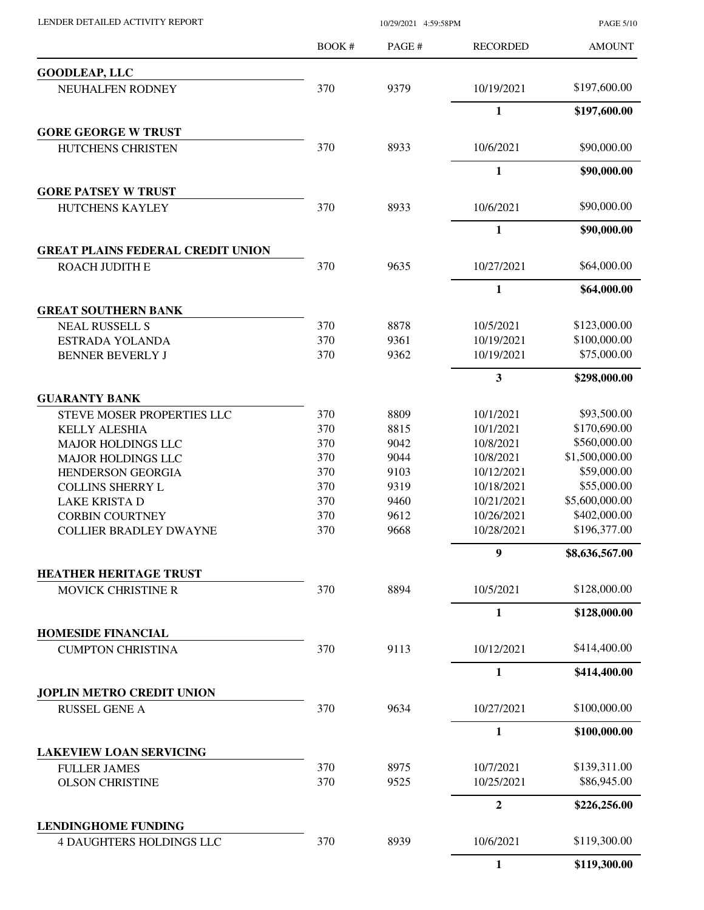| LENDER DETAILED ACTIVITY REPORT                            |            | 10/29/2021 4:59:58PM |                         | <b>PAGE 5/10</b>            |
|------------------------------------------------------------|------------|----------------------|-------------------------|-----------------------------|
|                                                            | BOOK #     | PAGE#                | <b>RECORDED</b>         | <b>AMOUNT</b>               |
| <b>GOODLEAP, LLC</b>                                       |            |                      |                         |                             |
| NEUHALFEN RODNEY                                           | 370        | 9379                 | 10/19/2021              | \$197,600.00                |
|                                                            |            |                      | $\mathbf{1}$            | \$197,600.00                |
| <b>GORE GEORGE W TRUST</b>                                 |            |                      |                         |                             |
| HUTCHENS CHRISTEN                                          | 370        | 8933                 | 10/6/2021               | \$90,000.00                 |
|                                                            |            |                      | 1                       | \$90,000.00                 |
| <b>GORE PATSEY W TRUST</b><br>HUTCHENS KAYLEY              | 370        | 8933                 | 10/6/2021               | \$90,000.00                 |
|                                                            |            |                      | 1                       | \$90,000.00                 |
| <b>GREAT PLAINS FEDERAL CREDIT UNION</b>                   |            |                      |                         |                             |
| ROACH JUDITH E                                             | 370        | 9635                 | 10/27/2021              | \$64,000.00                 |
|                                                            |            |                      | $\mathbf{1}$            | \$64,000.00                 |
| <b>GREAT SOUTHERN BANK</b>                                 |            |                      |                         |                             |
| <b>NEAL RUSSELL S</b>                                      | 370        | 8878                 | 10/5/2021               | \$123,000.00                |
| ESTRADA YOLANDA                                            | 370        | 9361                 | 10/19/2021              | \$100,000.00                |
| <b>BENNER BEVERLY J</b>                                    | 370        | 9362                 | 10/19/2021              | \$75,000.00                 |
|                                                            |            |                      | 3                       | \$298,000.00                |
| <b>GUARANTY BANK</b>                                       |            |                      |                         | \$93,500.00                 |
| <b>STEVE MOSER PROPERTIES LLC</b><br><b>KELLY ALESHIA</b>  | 370<br>370 | 8809<br>8815         | 10/1/2021<br>10/1/2021  | \$170,690.00                |
| <b>MAJOR HOLDINGS LLC</b>                                  | 370        | 9042                 | 10/8/2021               | \$560,000.00                |
| <b>MAJOR HOLDINGS LLC</b>                                  | 370        | 9044                 | 10/8/2021               | \$1,500,000.00              |
| HENDERSON GEORGIA                                          | 370        | 9103                 | 10/12/2021              | \$59,000.00                 |
| <b>COLLINS SHERRY L</b>                                    | 370        | 9319                 | 10/18/2021              | \$55,000.00                 |
| <b>LAKE KRISTA D</b>                                       | 370        | 9460                 | 10/21/2021              | \$5,600,000.00              |
| <b>CORBIN COURTNEY</b>                                     | 370        | 9612                 | 10/26/2021              | \$402,000.00                |
| <b>COLLIER BRADLEY DWAYNE</b>                              | 370        | 9668                 | 10/28/2021              | \$196,377.00                |
|                                                            |            |                      | 9                       | \$8,636,567.00              |
| <b>HEATHER HERITAGE TRUST</b><br><b>MOVICK CHRISTINE R</b> | 370        | 8894                 | 10/5/2021               | \$128,000.00                |
|                                                            |            |                      | $\mathbf{1}$            | \$128,000.00                |
| <b>HOMESIDE FINANCIAL</b>                                  |            |                      |                         |                             |
| <b>CUMPTON CHRISTINA</b>                                   | 370        | 9113                 | 10/12/2021              | \$414,400.00                |
|                                                            |            |                      | 1                       | \$414,400.00                |
| <b>JOPLIN METRO CREDIT UNION</b>                           |            |                      |                         |                             |
| <b>RUSSEL GENE A</b>                                       | 370        | 9634                 | 10/27/2021              | \$100,000.00                |
|                                                            |            |                      | $\mathbf{1}$            | \$100,000.00                |
| <b>LAKEVIEW LOAN SERVICING</b>                             |            |                      |                         |                             |
| <b>FULLER JAMES</b><br><b>OLSON CHRISTINE</b>              | 370<br>370 | 8975<br>9525         | 10/7/2021<br>10/25/2021 | \$139,311.00<br>\$86,945.00 |
|                                                            |            |                      | $\boldsymbol{2}$        | \$226,256.00                |
| <b>LENDINGHOME FUNDING</b>                                 |            |                      |                         |                             |
| <b>4 DAUGHTERS HOLDINGS LLC</b>                            | 370        | 8939                 | 10/6/2021               | \$119,300.00                |
|                                                            |            |                      | $\mathbf{1}$            | \$119,300.00                |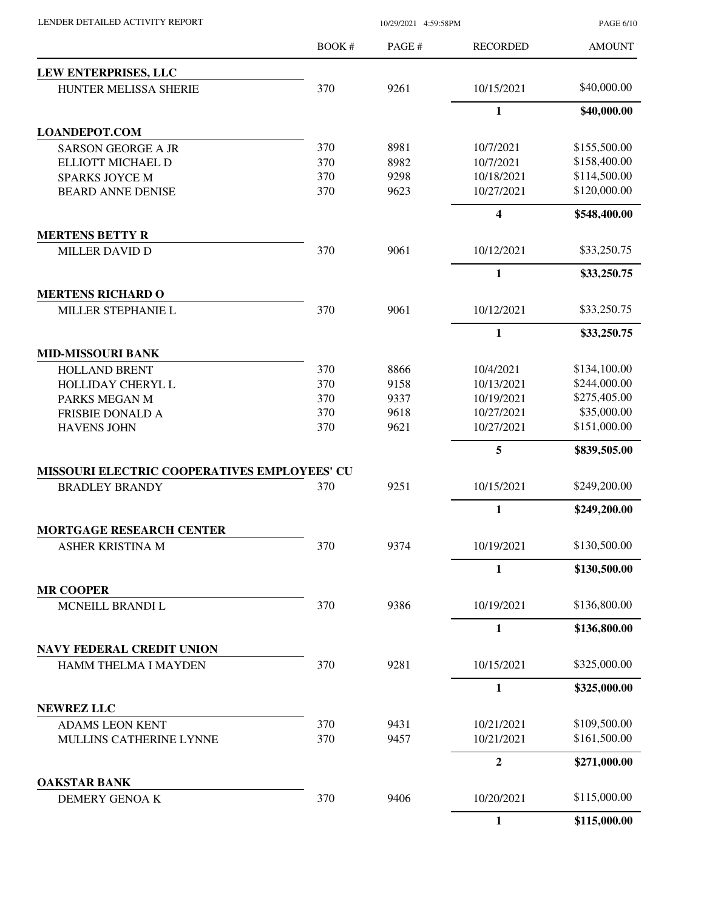| LENDER DETAILED ACTIVITY REPORT              |        | 10/29/2021 4:59:58PM |                  |               |
|----------------------------------------------|--------|----------------------|------------------|---------------|
|                                              | BOOK # | PAGE#                | <b>RECORDED</b>  | <b>AMOUNT</b> |
| LEW ENTERPRISES, LLC                         |        |                      |                  |               |
| HUNTER MELISSA SHERIE                        | 370    | 9261                 | 10/15/2021       | \$40,000.00   |
|                                              |        |                      | 1                | \$40,000.00   |
| <b>LOANDEPOT.COM</b>                         |        |                      |                  |               |
| <b>SARSON GEORGE A JR</b>                    | 370    | 8981                 | 10/7/2021        | \$155,500.00  |
| ELLIOTT MICHAEL D                            | 370    | 8982                 | 10/7/2021        | \$158,400.00  |
| <b>SPARKS JOYCE M</b>                        | 370    | 9298                 | 10/18/2021       | \$114,500.00  |
| <b>BEARD ANNE DENISE</b>                     | 370    | 9623                 | 10/27/2021       | \$120,000.00  |
|                                              |        |                      | $\boldsymbol{4}$ | \$548,400.00  |
| <b>MERTENS BETTY R</b>                       |        |                      |                  |               |
| <b>MILLER DAVID D</b>                        | 370    | 9061                 | 10/12/2021       | \$33,250.75   |
|                                              |        |                      | 1                | \$33,250.75   |
| <b>MERTENS RICHARD O</b>                     |        |                      |                  |               |
| MILLER STEPHANIE L                           | 370    | 9061                 | 10/12/2021       | \$33,250.75   |
|                                              |        |                      | $\mathbf{1}$     | \$33,250.75   |
| <b>MID-MISSOURI BANK</b>                     |        |                      |                  |               |
| <b>HOLLAND BRENT</b>                         | 370    | 8866                 | 10/4/2021        | \$134,100.00  |
| HOLLIDAY CHERYL L                            | 370    | 9158                 | 10/13/2021       | \$244,000.00  |
| PARKS MEGAN M                                | 370    | 9337                 | 10/19/2021       | \$275,405.00  |
| <b>FRISBIE DONALD A</b>                      | 370    | 9618                 | 10/27/2021       | \$35,000.00   |
| <b>HAVENS JOHN</b>                           | 370    | 9621                 | 10/27/2021       | \$151,000.00  |
|                                              |        |                      | 5                | \$839,505.00  |
| MISSOURI ELECTRIC COOPERATIVES EMPLOYEES' CU |        |                      |                  |               |
| <b>BRADLEY BRANDY</b>                        | 370    | 9251                 | 10/15/2021       | \$249,200.00  |
|                                              |        |                      | 1                | \$249,200.00  |
| MORTGAGE RESEARCH CENTER                     |        |                      |                  | \$130,500.00  |
| ASHER KRISTINA M                             | 370    | 9374                 | 10/19/2021       |               |
|                                              |        |                      | $\mathbf{1}$     | \$130,500.00  |
| <b>MR COOPER</b><br>MCNEILL BRANDI L         | 370    | 9386                 | 10/19/2021       | \$136,800.00  |
|                                              |        |                      | 1                | \$136,800.00  |
| <b>NAVY FEDERAL CREDIT UNION</b>             |        |                      |                  |               |
| HAMM THELMA I MAYDEN                         | 370    | 9281                 | 10/15/2021       | \$325,000.00  |
|                                              |        |                      |                  |               |
|                                              |        |                      | $\mathbf{1}$     | \$325,000.00  |
| <b>NEWREZ LLC</b><br><b>ADAMS LEON KENT</b>  | 370    | 9431                 | 10/21/2021       | \$109,500.00  |
| MULLINS CATHERINE LYNNE                      | 370    | 9457                 | 10/21/2021       | \$161,500.00  |
|                                              |        |                      | $\overline{2}$   | \$271,000.00  |
| <b>OAKSTAR BANK</b>                          |        |                      |                  |               |
| DEMERY GENOAK                                | 370    | 9406                 | 10/20/2021       | \$115,000.00  |
|                                              |        |                      | $\mathbf{1}$     | \$115,000.00  |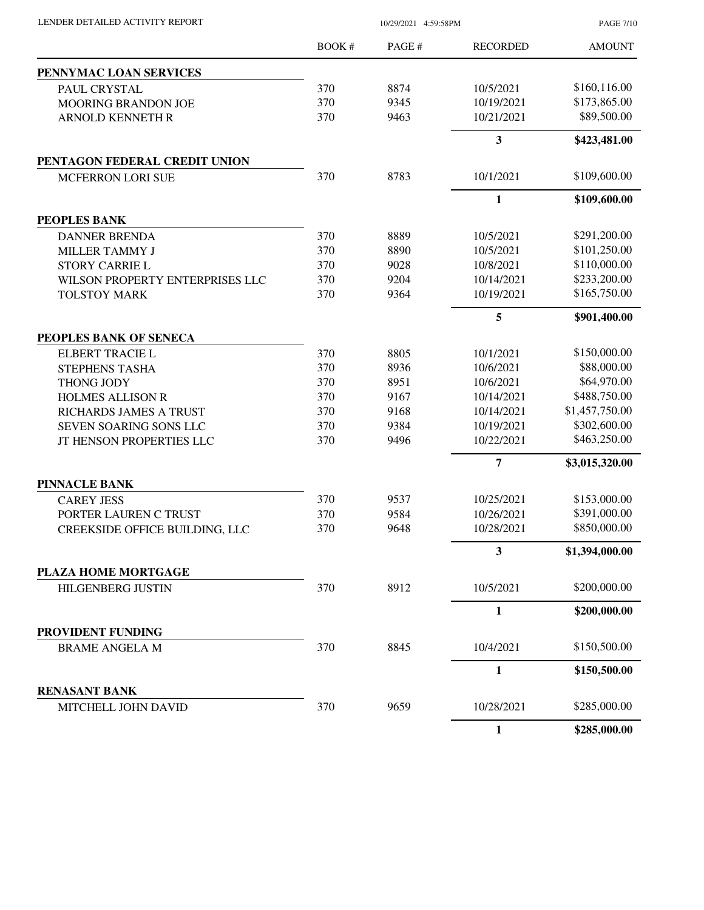| LENDER DETAILED ACTIVITY REPORT | 10/29/2021 4:59:58PM |       |                 | <b>PAGE 7/10</b> |
|---------------------------------|----------------------|-------|-----------------|------------------|
|                                 | BOOK #               | PAGE# | <b>RECORDED</b> | <b>AMOUNT</b>    |
| PENNYMAC LOAN SERVICES          |                      |       |                 |                  |
| PAUL CRYSTAL                    | 370                  | 8874  | 10/5/2021       | \$160,116.00     |
| <b>MOORING BRANDON JOE</b>      | 370                  | 9345  | 10/19/2021      | \$173,865.00     |
| <b>ARNOLD KENNETH R</b>         | 370                  | 9463  | 10/21/2021      | \$89,500.00      |
|                                 |                      |       | 3               | \$423,481.00     |
| PENTAGON FEDERAL CREDIT UNION   |                      |       |                 |                  |
| <b>MCFERRON LORI SUE</b>        | 370                  | 8783  | 10/1/2021       | \$109,600.00     |
|                                 |                      |       | $\mathbf{1}$    | \$109,600.00     |
| PEOPLES BANK                    |                      |       |                 |                  |
| <b>DANNER BRENDA</b>            | 370                  | 8889  | 10/5/2021       | \$291,200.00     |
| MILLER TAMMY J                  | 370                  | 8890  | 10/5/2021       | \$101,250.00     |
| <b>STORY CARRIE L</b>           | 370                  | 9028  | 10/8/2021       | \$110,000.00     |
| WILSON PROPERTY ENTERPRISES LLC | 370                  | 9204  | 10/14/2021      | \$233,200.00     |
| <b>TOLSTOY MARK</b>             | 370                  | 9364  | 10/19/2021      | \$165,750.00     |
|                                 |                      |       | 5               | \$901,400.00     |
| PEOPLES BANK OF SENECA          |                      |       |                 |                  |
| <b>ELBERT TRACIE L</b>          | 370                  | 8805  | 10/1/2021       | \$150,000.00     |
| <b>STEPHENS TASHA</b>           | 370                  | 8936  | 10/6/2021       | \$88,000.00      |
| THONG JODY                      | 370                  | 8951  | 10/6/2021       | \$64,970.00      |
| <b>HOLMES ALLISON R</b>         | 370                  | 9167  | 10/14/2021      | \$488,750.00     |
| RICHARDS JAMES A TRUST          | 370                  | 9168  | 10/14/2021      | \$1,457,750.00   |
| SEVEN SOARING SONS LLC          | 370                  | 9384  | 10/19/2021      | \$302,600.00     |
| JT HENSON PROPERTIES LLC        | 370                  | 9496  | 10/22/2021      | \$463,250.00     |
|                                 |                      |       | $\overline{7}$  | \$3,015,320.00   |
| <b>PINNACLE BANK</b>            |                      |       |                 |                  |
| <b>CAREY JESS</b>               | 370                  | 9537  | 10/25/2021      | \$153,000.00     |
| PORTER LAUREN C TRUST           | 370                  | 9584  | 10/26/2021      | \$391,000.00     |
| CREEKSIDE OFFICE BUILDING, LLC  | 370                  | 9648  | 10/28/2021      | \$850,000.00     |
|                                 |                      |       | 3               | \$1,394,000.00   |
| PLAZA HOME MORTGAGE             |                      |       |                 |                  |
| <b>HILGENBERG JUSTIN</b>        | 370                  | 8912  | 10/5/2021       | \$200,000.00     |
|                                 |                      |       | 1               | \$200,000.00     |
| PROVIDENT FUNDING               |                      |       |                 |                  |
| <b>BRAME ANGELA M</b>           | 370                  | 8845  | 10/4/2021       | \$150,500.00     |
|                                 |                      |       | $\mathbf{1}$    | \$150,500.00     |
| <b>RENASANT BANK</b>            |                      |       |                 |                  |
| MITCHELL JOHN DAVID             | 370                  | 9659  | 10/28/2021      | \$285,000.00     |
|                                 |                      |       | $\mathbf{1}$    | \$285,000.00     |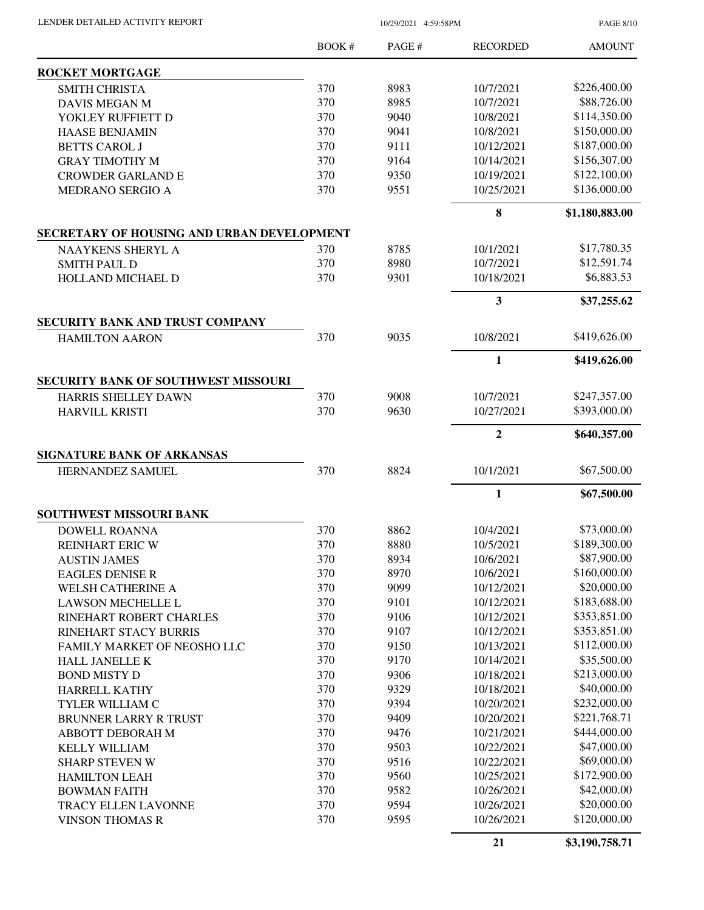LENDER DETAILED ACTIVITY REPORT 10/29/2021 4:59:58PM

PAGE 8/10

|                                                                   | <b>BOOK#</b> | PAGE#        | <b>RECORDED</b>          | <b>AMOUNT</b>  |
|-------------------------------------------------------------------|--------------|--------------|--------------------------|----------------|
| <b>ROCKET MORTGAGE</b>                                            |              |              |                          |                |
| <b>SMITH CHRISTA</b>                                              | 370          | 8983         | 10/7/2021                | \$226,400.00   |
| <b>DAVIS MEGAN M</b>                                              | 370          | 8985         | 10/7/2021                | \$88,726.00    |
| YOKLEY RUFFIETT D                                                 | 370          | 9040         | 10/8/2021                | \$114,350.00   |
| <b>HAASE BENJAMIN</b>                                             | 370          | 9041         | 10/8/2021                | \$150,000.00   |
| <b>BETTS CAROL J</b>                                              | 370          | 9111         | 10/12/2021               | \$187,000.00   |
| <b>GRAY TIMOTHY M</b>                                             | 370          | 9164         | 10/14/2021               | \$156,307.00   |
| <b>CROWDER GARLAND E</b>                                          | 370          | 9350         | 10/19/2021               | \$122,100.00   |
| MEDRANO SERGIO A                                                  | 370          | 9551         | 10/25/2021               | \$136,000.00   |
|                                                                   |              |              | 8                        | \$1,180,883.00 |
| SECRETARY OF HOUSING AND URBAN DEVELOPMENT                        |              |              |                          |                |
| NAAYKENS SHERYL A                                                 | 370          | 8785         | 10/1/2021                | \$17,780.35    |
| <b>SMITH PAUL D</b>                                               | 370          | 8980         | 10/7/2021                | \$12,591.74    |
| <b>HOLLAND MICHAEL D</b>                                          | 370          | 9301         | 10/18/2021               | \$6,883.53     |
|                                                                   |              |              | 3                        | \$37,255.62    |
| SECURITY BANK AND TRUST COMPANY                                   | 370          | 9035         | 10/8/2021                | \$419,626.00   |
| <b>HAMILTON AARON</b>                                             |              |              |                          |                |
|                                                                   |              |              | $\mathbf{1}$             | \$419,626.00   |
| <b>SECURITY BANK OF SOUTHWEST MISSOURI</b><br>HARRIS SHELLEY DAWN | 370          | 9008         | 10/7/2021                | \$247,357.00   |
| <b>HARVILL KRISTI</b>                                             | 370          | 9630         | 10/27/2021               | \$393,000.00   |
|                                                                   |              |              |                          |                |
|                                                                   |              |              | $\mathbf{2}$             | \$640,357.00   |
| <b>SIGNATURE BANK OF ARKANSAS</b><br>HERNANDEZ SAMUEL             | 370          | 8824         | 10/1/2021                | \$67,500.00    |
|                                                                   |              |              | 1                        | \$67,500.00    |
| SOUTHWEST MISSOURI BANK                                           |              |              |                          |                |
| <b>DOWELL ROANNA</b>                                              | 370          | 8862         | 10/4/2021                | \$73,000.00    |
|                                                                   | 370          | 8880         | 10/5/2021                | \$189,300.00   |
| REINHART ERIC W<br><b>AUSTIN JAMES</b>                            | 370          | 8934         | 10/6/2021                | \$87,900.00    |
| <b>EAGLES DENISE R</b>                                            | 370          | 8970         | 10/6/2021                | \$160,000.00   |
| WELSH CATHERINE A                                                 | 370          | 9099         | 10/12/2021               | \$20,000.00    |
| <b>LAWSON MECHELLE L</b>                                          | 370          | 9101         | 10/12/2021               | \$183,688.00   |
| RINEHART ROBERT CHARLES                                           | 370          | 9106         | 10/12/2021               | \$353,851.00   |
| RINEHART STACY BURRIS                                             | 370          | 9107         | 10/12/2021               | \$353,851.00   |
| FAMILY MARKET OF NEOSHO LLC                                       | 370          | 9150         | 10/13/2021               | \$112,000.00   |
| HALL JANELLE K                                                    | 370          | 9170         | 10/14/2021               | \$35,500.00    |
| <b>BOND MISTY D</b>                                               | 370          | 9306         | 10/18/2021               | \$213,000.00   |
| <b>HARRELL KATHY</b>                                              | 370          | 9329         | 10/18/2021               | \$40,000.00    |
| TYLER WILLIAM C                                                   | 370          | 9394         | 10/20/2021               | \$232,000.00   |
|                                                                   | 370          | 9409         |                          | \$221,768.71   |
| <b>BRUNNER LARRY R TRUST</b><br>ABBOTT DEBORAH M                  | 370          | 9476         | 10/20/2021<br>10/21/2021 | \$444,000.00   |
|                                                                   | 370          | 9503         | 10/22/2021               | \$47,000.00    |
| <b>KELLY WILLIAM</b>                                              | 370          | 9516         |                          | \$69,000.00    |
| <b>SHARP STEVEN W</b>                                             |              |              | 10/22/2021               | \$172,900.00   |
| <b>HAMILTON LEAH</b>                                              | 370<br>370   | 9560<br>9582 | 10/25/2021<br>10/26/2021 | \$42,000.00    |
| <b>BOWMAN FAITH</b>                                               |              |              |                          | \$20,000.00    |
| <b>TRACY ELLEN LAVONNE</b>                                        | 370          | 9594         | 10/26/2021               | \$120,000.00   |
| <b>VINSON THOMAS R</b>                                            | 370          | 9595         | 10/26/2021               |                |
|                                                                   |              |              | 21                       | \$3,190,758.71 |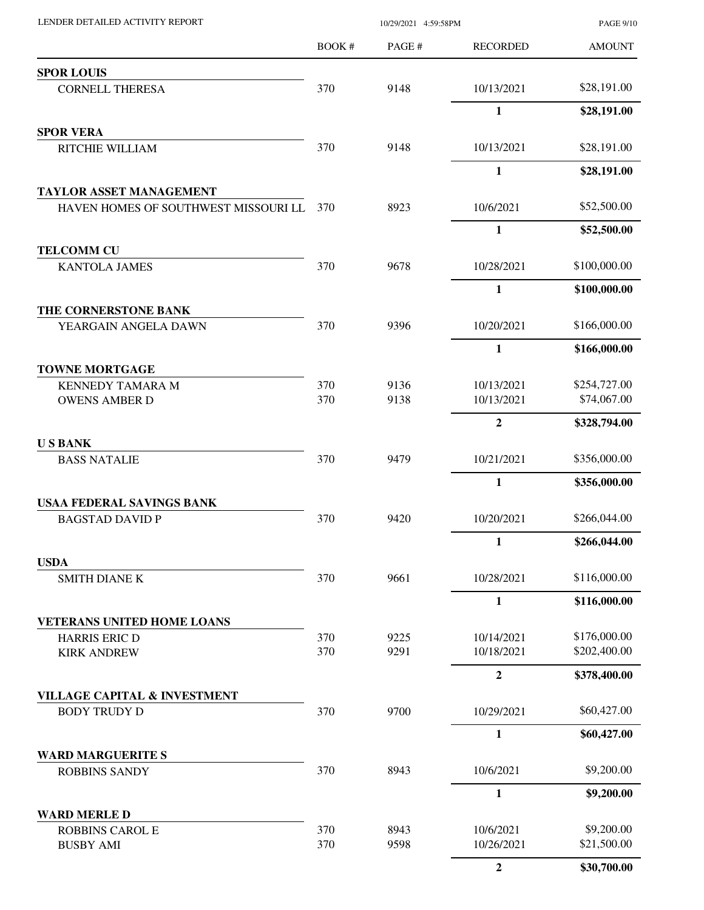| LENDER DETAILED ACTIVITY REPORT                                        | 10/29/2021 4:59:58PM |              |                          | <b>PAGE 9/10</b>            |
|------------------------------------------------------------------------|----------------------|--------------|--------------------------|-----------------------------|
|                                                                        | BOOK#                | PAGE#        | <b>RECORDED</b>          | <b>AMOUNT</b>               |
| <b>SPOR LOUIS</b>                                                      |                      |              |                          |                             |
| <b>CORNELL THERESA</b>                                                 | 370                  | 9148         | 10/13/2021               | \$28,191.00                 |
|                                                                        |                      |              | $\mathbf{1}$             | \$28,191.00                 |
| <b>SPOR VERA</b>                                                       |                      |              |                          |                             |
| RITCHIE WILLIAM                                                        | 370                  | 9148         | 10/13/2021               | \$28,191.00                 |
|                                                                        |                      |              | $\mathbf{1}$             | \$28,191.00                 |
| <b>TAYLOR ASSET MANAGEMENT</b><br>HAVEN HOMES OF SOUTHWEST MISSOURI LL | 370                  | 8923         | 10/6/2021                | \$52,500.00                 |
|                                                                        |                      |              | $\mathbf{1}$             | \$52,500.00                 |
| <b>TELCOMM CU</b>                                                      |                      |              |                          |                             |
| <b>KANTOLA JAMES</b>                                                   | 370                  | 9678         | 10/28/2021               | \$100,000.00                |
|                                                                        |                      |              | $\mathbf{1}$             | \$100,000.00                |
| THE CORNERSTONE BANK                                                   |                      |              |                          |                             |
| YEARGAIN ANGELA DAWN                                                   | 370                  | 9396         | 10/20/2021               | \$166,000.00                |
|                                                                        |                      |              | $\mathbf{1}$             | \$166,000.00                |
| <b>TOWNE MORTGAGE</b>                                                  |                      |              |                          |                             |
| <b>KENNEDY TAMARA M</b><br><b>OWENS AMBER D</b>                        | 370<br>370           | 9136<br>9138 | 10/13/2021<br>10/13/2021 | \$254,727.00<br>\$74,067.00 |
|                                                                        |                      |              | $\overline{2}$           | \$328,794.00                |
| <b>USBANK</b>                                                          |                      |              |                          |                             |
| <b>BASS NATALIE</b>                                                    | 370                  | 9479         | 10/21/2021               | \$356,000.00                |
|                                                                        |                      |              | 1                        | \$356,000.00                |
| <b>USAA FEDERAL SAVINGS BANK</b>                                       |                      |              |                          |                             |
| <b>BAGSTAD DAVID P</b>                                                 | 370                  | 9420         | 10/20/2021               | \$266,044.00                |
|                                                                        |                      |              | $\mathbf{1}$             | \$266,044.00                |
| <b>USDA</b><br><b>SMITH DIANE K</b>                                    | 370                  | 9661         | 10/28/2021               | \$116,000.00                |
|                                                                        |                      |              |                          |                             |
| <b>VETERANS UNITED HOME LOANS</b>                                      |                      |              | 1                        | \$116,000.00                |
| HARRIS ERIC D                                                          | 370                  | 9225         | 10/14/2021               | \$176,000.00                |
| <b>KIRK ANDREW</b>                                                     | 370                  | 9291         | 10/18/2021               | \$202,400.00                |
|                                                                        |                      |              | $\overline{2}$           | \$378,400.00                |
| <b>VILLAGE CAPITAL &amp; INVESTMENT</b>                                |                      |              |                          |                             |
| <b>BODY TRUDY D</b>                                                    | 370                  | 9700         | 10/29/2021               | \$60,427.00                 |
|                                                                        |                      |              | $\mathbf{1}$             | \$60,427.00                 |
| <b>WARD MARGUERITE S</b><br><b>ROBBINS SANDY</b>                       | 370                  | 8943         | 10/6/2021                | \$9,200.00                  |
|                                                                        |                      |              | $\mathbf{1}$             | \$9,200.00                  |
| <b>WARD MERLE D</b>                                                    |                      |              |                          |                             |
| <b>ROBBINS CAROL E</b>                                                 | 370                  | 8943         | 10/6/2021                | \$9,200.00                  |
| <b>BUSBY AMI</b>                                                       | 370                  | 9598         | 10/26/2021               | \$21,500.00                 |
|                                                                        |                      |              | $\boldsymbol{2}$         | \$30,700.00                 |